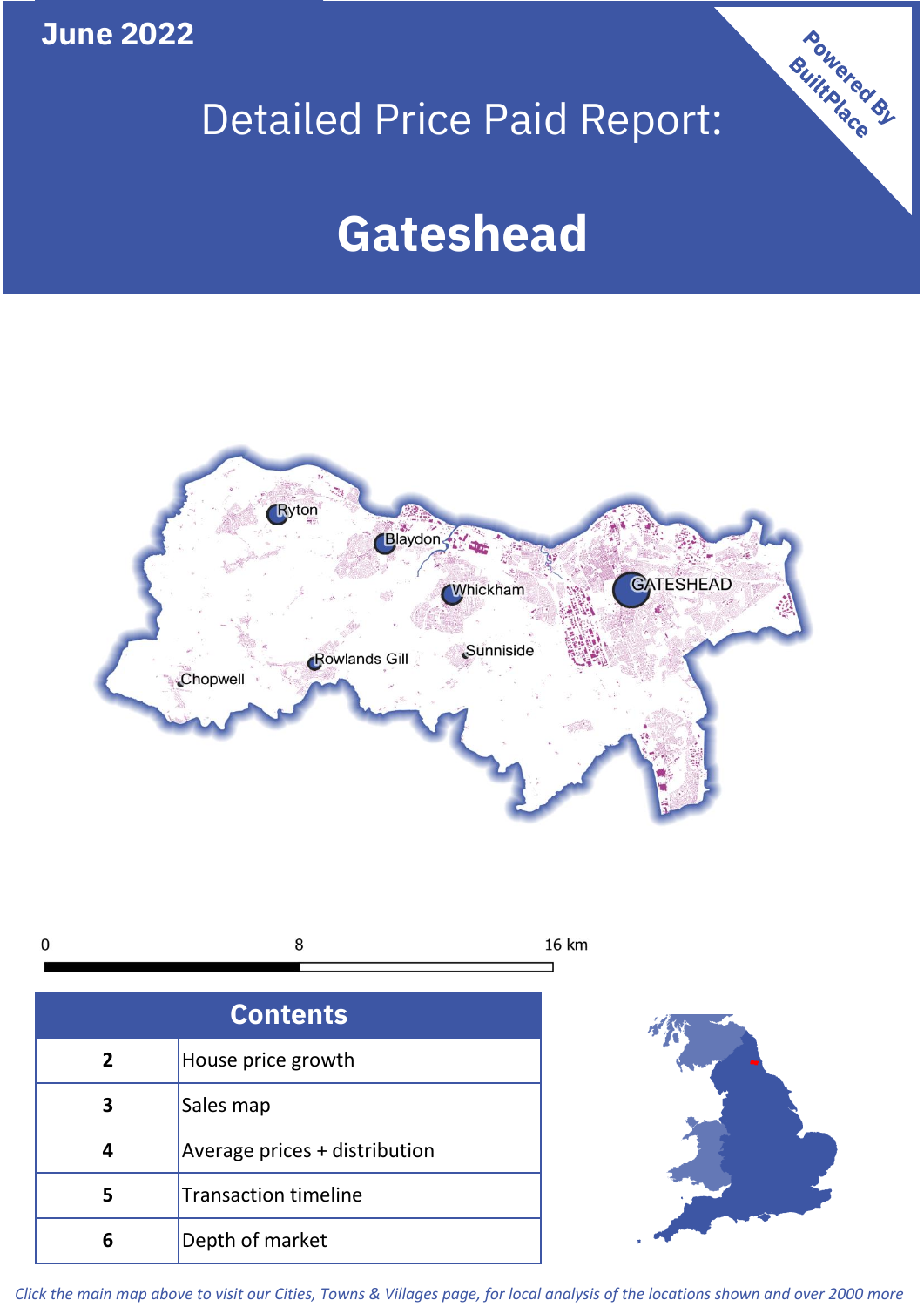**June 2022**

# Detailed Price Paid Report:

Powered By

# **Gateshead**





*Click the main map above to visit our Cities, Towns & Villages page, for local analysis of the locations shown and over 2000 more*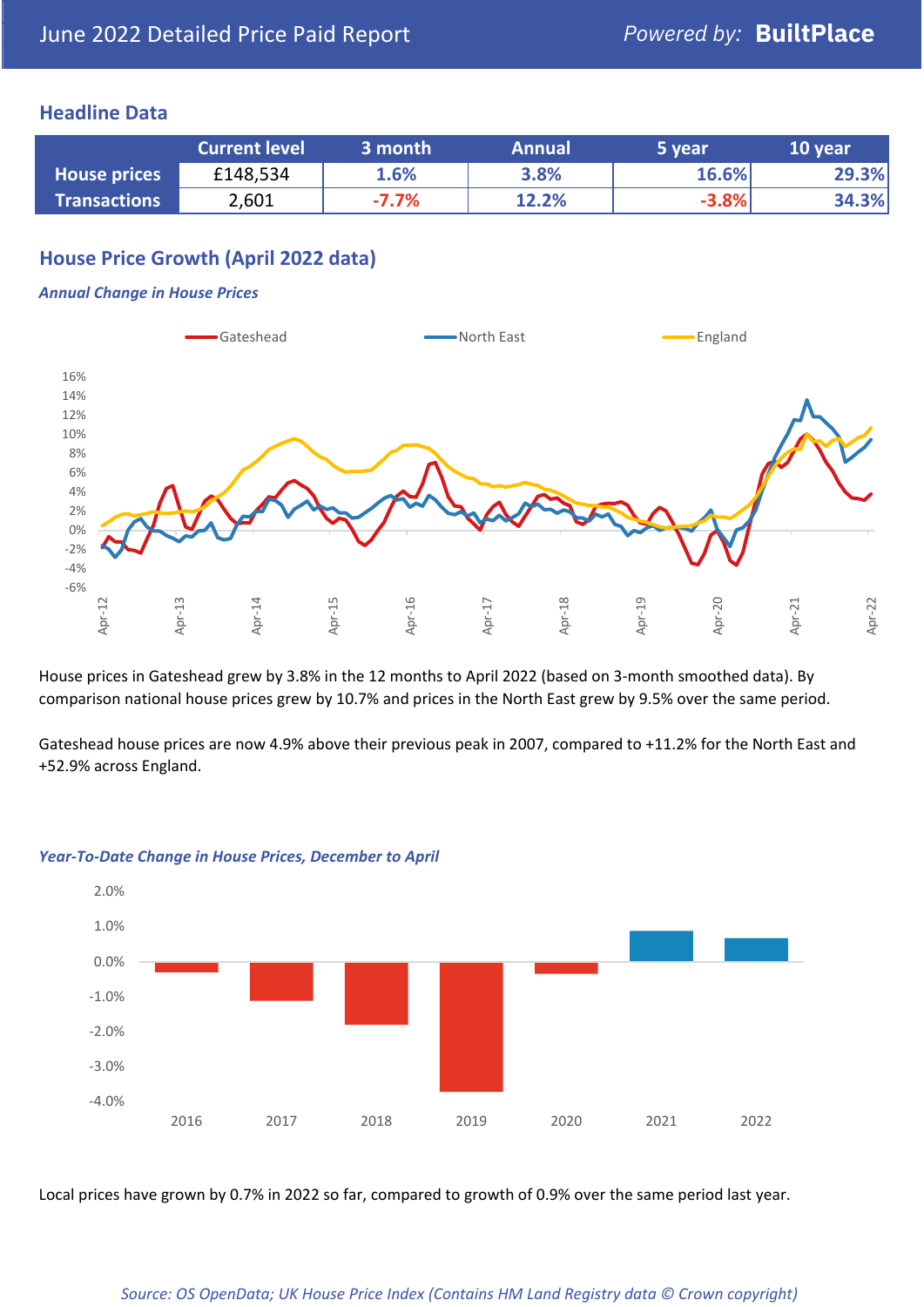## **Headline Data**

|                     | <b>Current level</b> | 3 month | <b>Annual</b> | 5 year  | 10 year |
|---------------------|----------------------|---------|---------------|---------|---------|
| <b>House prices</b> | £148,534             | 1.6%    | 3.8%          | 16.6%   | 29.3%   |
| <b>Transactions</b> | 2,601                | $-7.7%$ | 12.2%         | $-3.8%$ | 34.3%   |

## **House Price Growth (April 2022 data)**

#### *Annual Change in House Prices*



House prices in Gateshead grew by 3.8% in the 12 months to April 2022 (based on 3-month smoothed data). By comparison national house prices grew by 10.7% and prices in the North East grew by 9.5% over the same period.

Gateshead house prices are now 4.9% above their previous peak in 2007, compared to +11.2% for the North East and +52.9% across England.



#### *Year-To-Date Change in House Prices, December to April*

Local prices have grown by 0.7% in 2022 so far, compared to growth of 0.9% over the same period last year.

#### *Source: OS OpenData; UK House Price Index (Contains HM Land Registry data © Crown copyright)*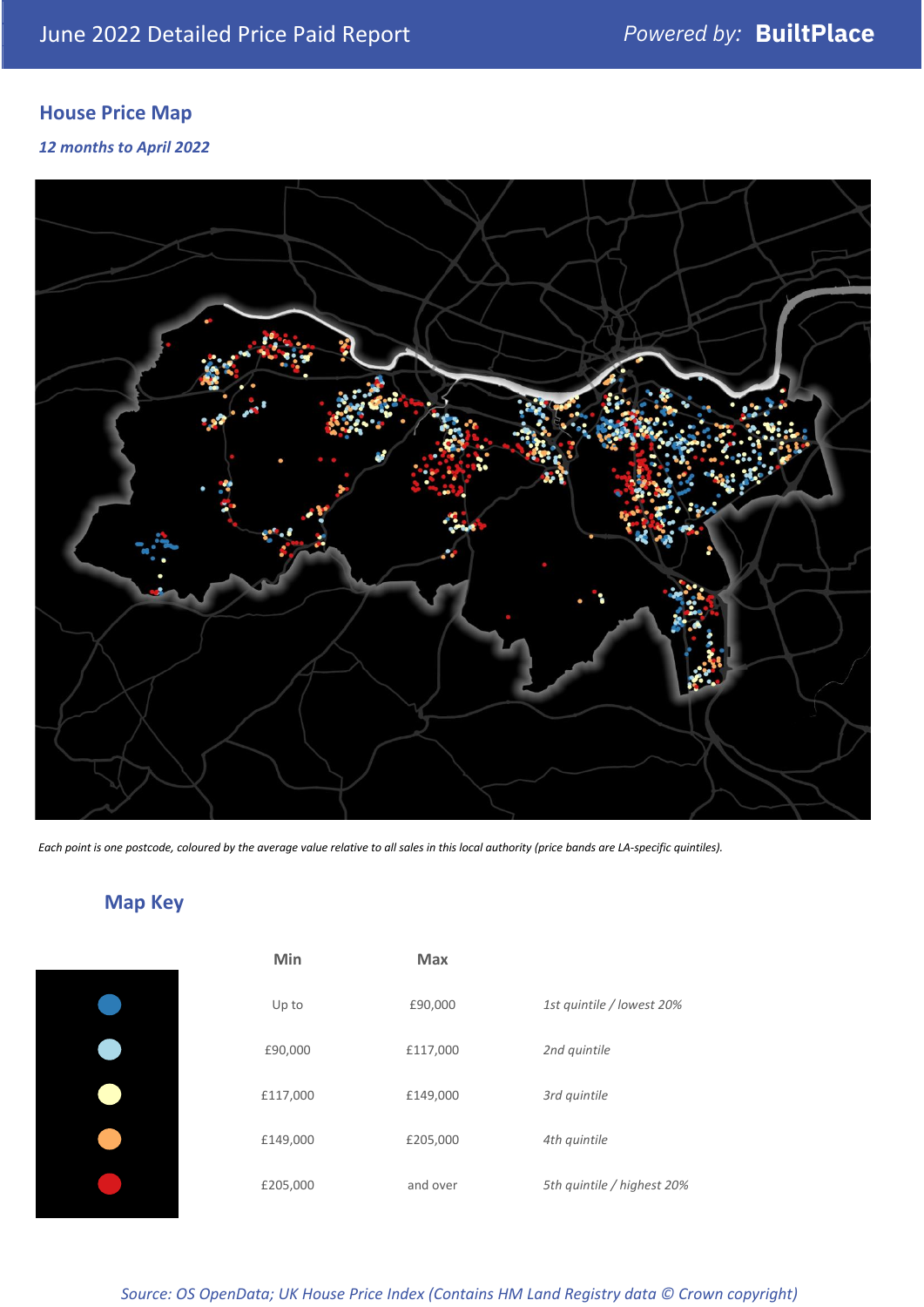# **House Price Map**

*12 months to April 2022*



*Each point is one postcode, coloured by the average value relative to all sales in this local authority (price bands are LA-specific quintiles).*

# **Map Key**

| Min      | Max      |                            |
|----------|----------|----------------------------|
| Up to    | £90,000  | 1st quintile / lowest 20%  |
| £90,000  | £117,000 | 2nd quintile               |
| £117,000 | £149,000 | 3rd quintile               |
| £149,000 | £205,000 | 4th quintile               |
| £205,000 | and over | 5th quintile / highest 20% |

*Source: OS OpenData; UK House Price Index (Contains HM Land Registry data © Crown copyright)*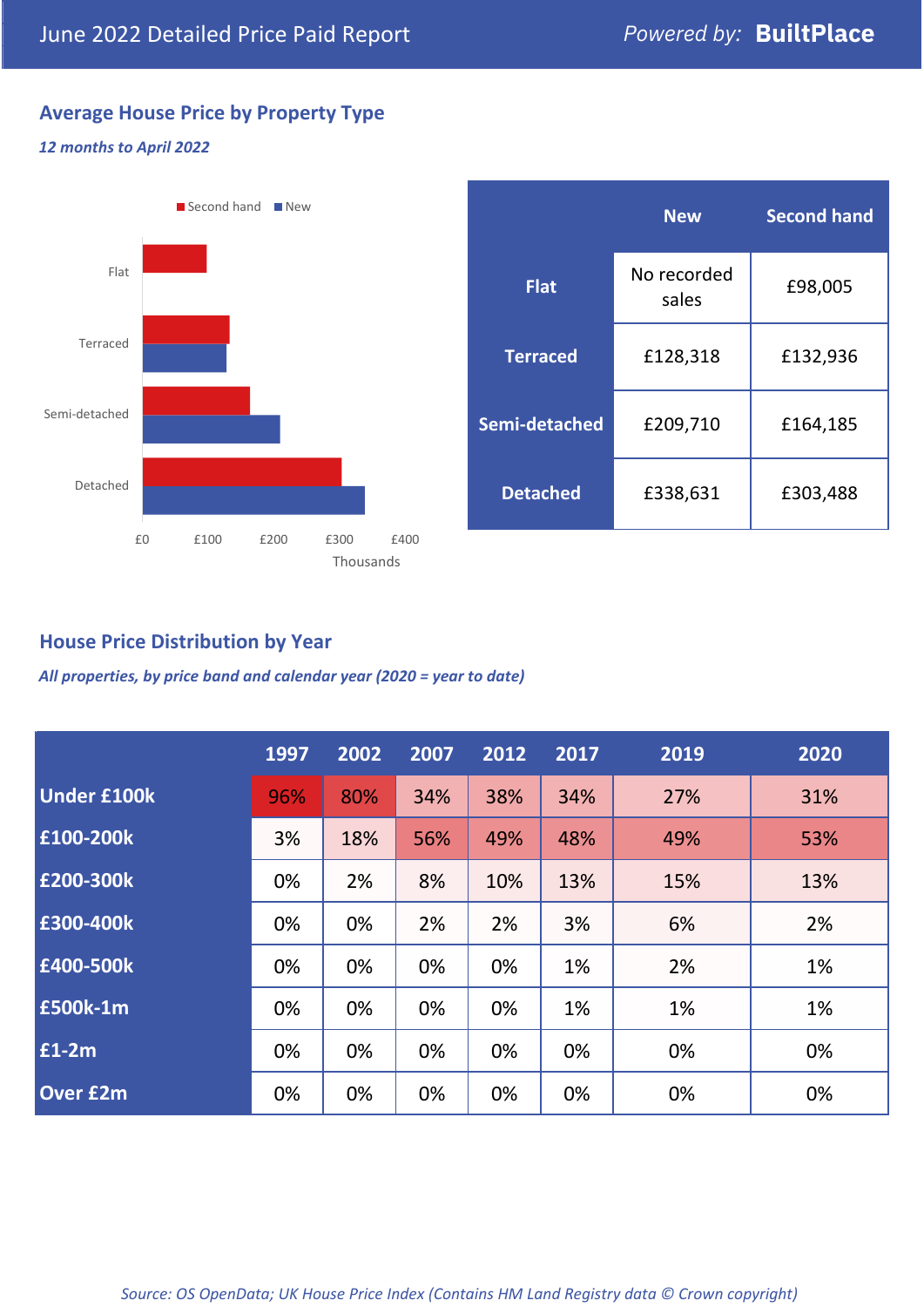## **Average House Price by Property Type**

### *12 months to April 2022*



|                 | <b>New</b>           | <b>Second hand</b> |  |  |
|-----------------|----------------------|--------------------|--|--|
| <b>Flat</b>     | No recorded<br>sales | £98,005            |  |  |
| <b>Terraced</b> | £128,318             | £132,936           |  |  |
| Semi-detached   | £209,710             | £164,185           |  |  |
| <b>Detached</b> | £338,631             | £303,488           |  |  |

## **House Price Distribution by Year**

*All properties, by price band and calendar year (2020 = year to date)*

|                    | 1997 | 2002 | 2007 | 2012 | 2017 | 2019 | 2020 |
|--------------------|------|------|------|------|------|------|------|
| <b>Under £100k</b> | 96%  | 80%  | 34%  | 38%  | 34%  | 27%  | 31%  |
| £100-200k          | 3%   | 18%  | 56%  | 49%  | 48%  | 49%  | 53%  |
| E200-300k          | 0%   | 2%   | 8%   | 10%  | 13%  | 15%  | 13%  |
| £300-400k          | 0%   | 0%   | 2%   | 2%   | 3%   | 6%   | 2%   |
| £400-500k          | 0%   | 0%   | 0%   | 0%   | 1%   | 2%   | 1%   |
| <b>£500k-1m</b>    | 0%   | 0%   | 0%   | 0%   | 1%   | 1%   | 1%   |
| £1-2m              | 0%   | 0%   | 0%   | 0%   | 0%   | 0%   | 0%   |
| <b>Over £2m</b>    | 0%   | 0%   | 0%   | 0%   | 0%   | 0%   | 0%   |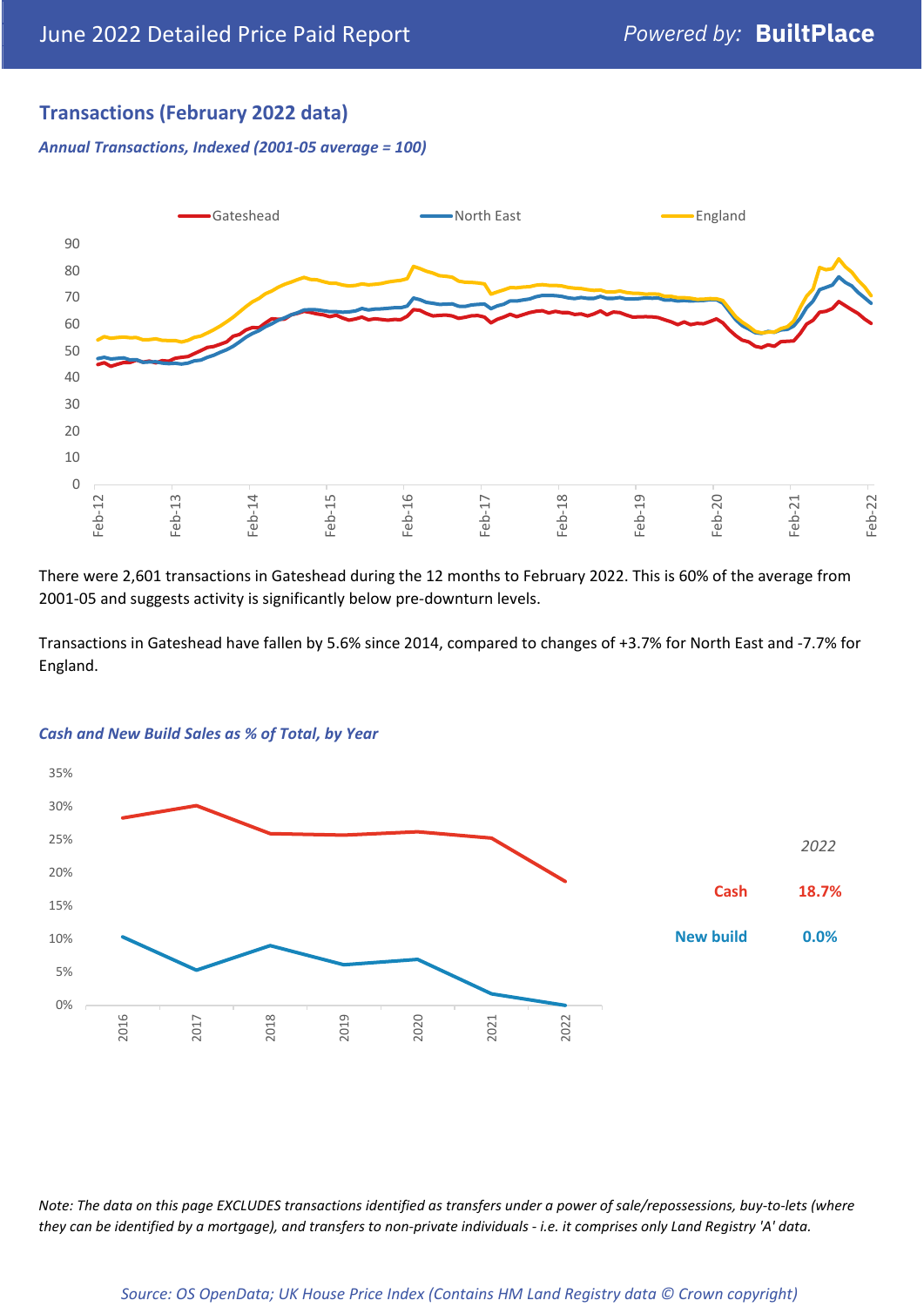## **Transactions (February 2022 data)**

*Annual Transactions, Indexed (2001-05 average = 100)*



There were 2,601 transactions in Gateshead during the 12 months to February 2022. This is 60% of the average from 2001-05 and suggests activity is significantly below pre-downturn levels.

Transactions in Gateshead have fallen by 5.6% since 2014, compared to changes of +3.7% for North East and -7.7% for England.



#### *Cash and New Build Sales as % of Total, by Year*

*Note: The data on this page EXCLUDES transactions identified as transfers under a power of sale/repossessions, buy-to-lets (where they can be identified by a mortgage), and transfers to non-private individuals - i.e. it comprises only Land Registry 'A' data.*